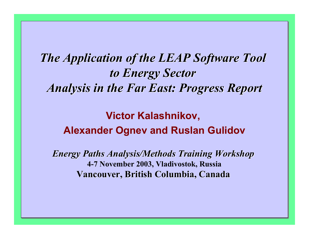#### The Application of the LEAP Software Tool *to Energy Sector to Energy Sector to Energy Sector Analysis in the Far East: Progress Report Analysis in the Far East: Progress Report Analysis in the Far East: Progress Report*

#### **Victor Kalashnikov, Victor Kalashnikov, Alexander Ognev and Ruslan Gulidov Alexander Ognev and Ruslan Gulidov**

*Energy Paths Analysis/Methods Training Workshop Energy Paths Analysis/Methods Training Workshop Energy Paths Analysis/Methods Training Workshop*  **4-7 November 2003, Vladivostok, Russia 4-7 November 2003, Vladivostok, Russia Vancouver, British Columbia, Canada Vancouver, British Columbia, Canada Vancouver, British Columbia, Canada**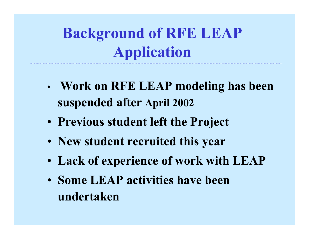**Background of RFE LEAP Application**

- • **Work on RFE LEAP modeling has been suspended after April 2002**
- **Previous student left the Project**
- **New student recruited this year**
- **Lack of experience of work with LEAP**
- **Some LEAP activities have been undertaken**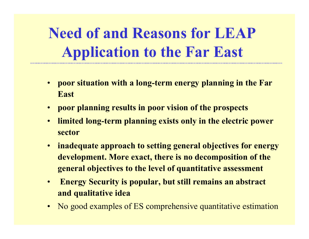# **Need of and Reasons for LEAP Application to the Far East**

- **poor situation with a long-term energy planning in the Far East**
- **poor planning results in poor vision of the prospects**
- • **limited long-term planning exists only in the electric power sector**
- **inadequate approach to setting general objectives for energy development. More exact, there is no decomposition of the general objectives to the level of quantitative assessment**
- • **Energy Security is popular, but still remains an abstract and qualitative idea**
- No good examples of ES comprehensive quantitative estimation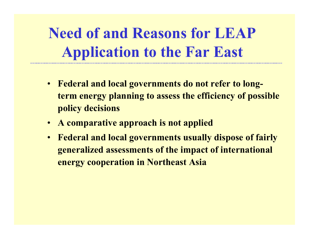# **Need of and Reasons for LEAP Application to the Far East**

- **Federal and local governments do not refer to longterm energy planning to assess the efficiency of possible policy decisions**
- **A comparative approach is not applied**
- • **Federal and local governments usually dispose of fairly generalized assessments of the impact of international energy cooperation in Northeast Asia**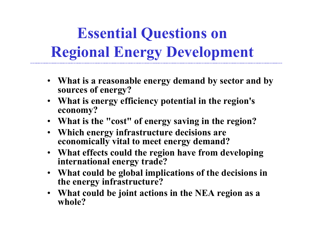# **Essential Questions on Regional Energy Development**

- **What is a reasonable energy demand by sector and by sources of energy?**
- **What is energy efficiency potential in the region's economy?**
- **What is the "cost" of energy saving in the region?**
- **Which energy infrastructure decisions are economically vital to meet energy demand?**
- **What effects could the region have from developing international energy trade?**
- **What could be global implications of the decisions in the energy infrastructure?**
- **What could be joint actions in the NEA region as a whole?**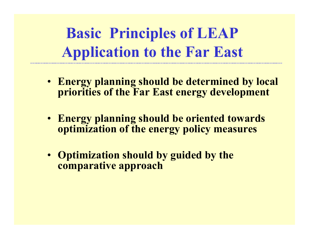**Basic Principles of LEAP Application to the Far East**

- **Energy planning should be determined by local priorities of the Far East energy development**
- **Energy planning should be oriented towards optimization of the energy policy measures**
- **Optimization should by guided by the comparative approach**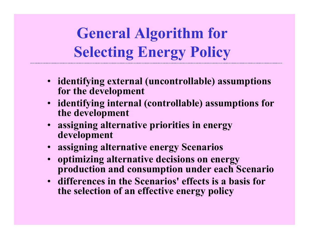**General Algorithm for Selecting Energy Policy**

- **identifying external (uncontrollable) assumptions for the development**
- **identifying internal (controllable) assumptions for the development**
- **assigning alternative priorities in energy development**
- **assigning alternative energy Scenarios**
- **optimizing alternative decisions on energy production and consumption under each Scenario**
- **differences in the Scenarios' effects is a basis for the selection of an effective energy policy**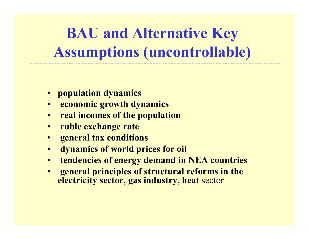- **population dynamics**
- •**economic growth dynamics**
- •**real incomes of the population**
- •**ruble exchange rate**
- •**general tax conditions**
- •**dynamics of world prices for oil**
- •**tendencies of energy demand in NEA countries**
- • **general principles of structural reforms in the electricity sector, gas industry, heat** sector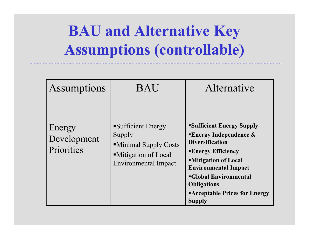| Assumptions                         | <b>BAU</b>                                                                                                 | Alternative                                                                                                                                                                                                                                                                                                    |
|-------------------------------------|------------------------------------------------------------------------------------------------------------|----------------------------------------------------------------------------------------------------------------------------------------------------------------------------------------------------------------------------------------------------------------------------------------------------------------|
|                                     |                                                                                                            |                                                                                                                                                                                                                                                                                                                |
| Energy<br>Development<br>Priorities | Sufficient Energy<br>Supply<br>Minimal Supply Costs<br>•Mitigation of Local<br><b>Environmental Impact</b> | <b>Sufficient Energy Supply</b><br><b>Energy Independence <math>\&amp;</math></b><br><b>Diversification</b><br><b>Energy Efficiency</b><br><b>Nitigation of Local</b><br><b>Environmental Impact</b><br><b>Global Environmental</b><br><b>Obligations</b><br><b>Example Prices for Energy</b><br><b>Supply</b> |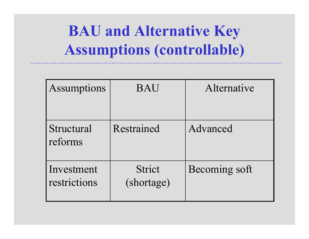| Assumptions                | <b>BAU</b>           | Alternative   |
|----------------------------|----------------------|---------------|
|                            |                      |               |
| Structural<br>reforms      | Restrained           | Advanced      |
| Investment<br>restrictions | Strict<br>(shortage) | Becoming soft |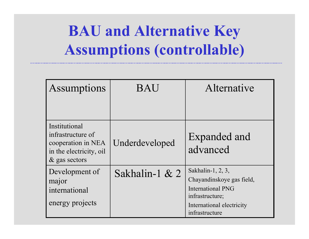| Assumptions                                                                                             | <b>BAU</b>     | Alternative                                                                                                                                  |
|---------------------------------------------------------------------------------------------------------|----------------|----------------------------------------------------------------------------------------------------------------------------------------------|
|                                                                                                         |                |                                                                                                                                              |
| Institutional<br>infrastructure of<br>cooperation in NEA<br>in the electricity, oil<br>$\&$ gas sectors | Underdeveloped | <b>Expanded and</b><br>advanced                                                                                                              |
| Development of<br>major<br>international<br>energy projects                                             | Sakhalin-1 & 2 | Sakhalin-1, 2, 3,<br>Chayandinskoye gas field,<br><b>International PNG</b><br>infrastructure;<br>International electricity<br>infrastructure |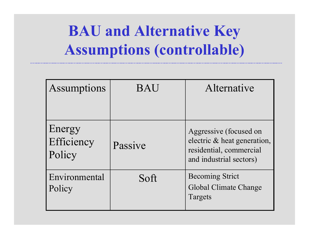| <b>Assumptions</b>             | <b>BAU</b> | Alternative                                                                                                 |
|--------------------------------|------------|-------------------------------------------------------------------------------------------------------------|
|                                |            |                                                                                                             |
| Energy<br>Efficiency<br>Policy | Passive    | Aggressive (focused on<br>electric & heat generation,<br>residential, commercial<br>and industrial sectors) |
| Environmental<br>Policy        | Soft       | <b>Becoming Strict</b><br><b>Global Climate Change</b><br>Targets                                           |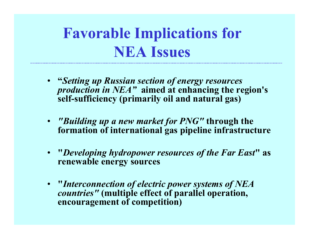### **Favorable Implications for NEA Issues**

- **"***Setting up Russian section of energy resources production in NEA"* **aimed at enhancing the region's self-sufficiency (primarily oil and natural gas)**
- *"Building up a new market for PNG"* **through the formation of international gas pipeline infrastructure**
- **"***Developing hydropower resources of the Far East***" as renewable energy sources**
- **"***Interconnection of electric power systems of NEA countries"* **(multiple effect of parallel operation, encouragement of competition)**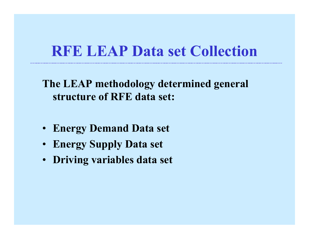#### **RFE LEAP Data set Collection**

**The LEAP methodology determined general structure of RFE data set:** 

- **Energy Demand Data set**
- **Energy Supply Data set**
- **Driving variables data set**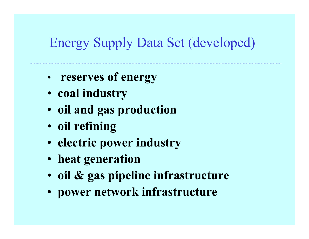#### Energy Supply Data Set (developed)

- •**reserves of energy**
- **coal industry**
- **oil and gas production**
- **oil refining**
- **electric power industry**
- **heat generation**
- **oil & gas pipeline infrastructure**
- **power network infrastructure**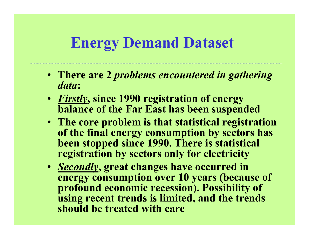### **Energy Demand Dataset**

- **There are 2** *problems encountered in gathering data***:**
- *Firstly***, since 1990 registration of energy balance of the Far East has been suspended**
- **The core problem is that statistical registration of the final energy consumption by sectors has been stopped since 1990. There is statistical registration by sectors only for electricity**
- *Secondly***, great changes have occurred in energy consumption over 10 years (because of profound economic recession). Possibility of using recent trends is limited, and the trends should be treated with care**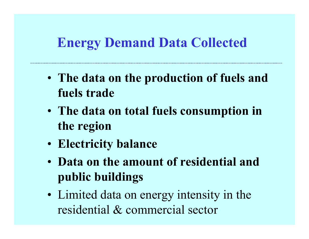#### **Energy Demand Data Collected**

- **The data on the production of fuels and fuels trade**
- **The data on total fuels consumption in the region**
- **Electricity balance**
- **Data on the amount of residential and public buildings**
- •• Limited data on energy intensity in the residential & commercial sector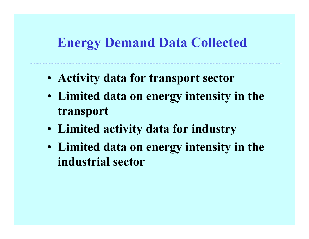#### **Energy Demand Data Collected**

- **Activity data for transport sector**
- **Limited data on energy intensity in the transport**
- **Limited activity data for industry**
- **Limited data on energy intensity in the industrial sector**